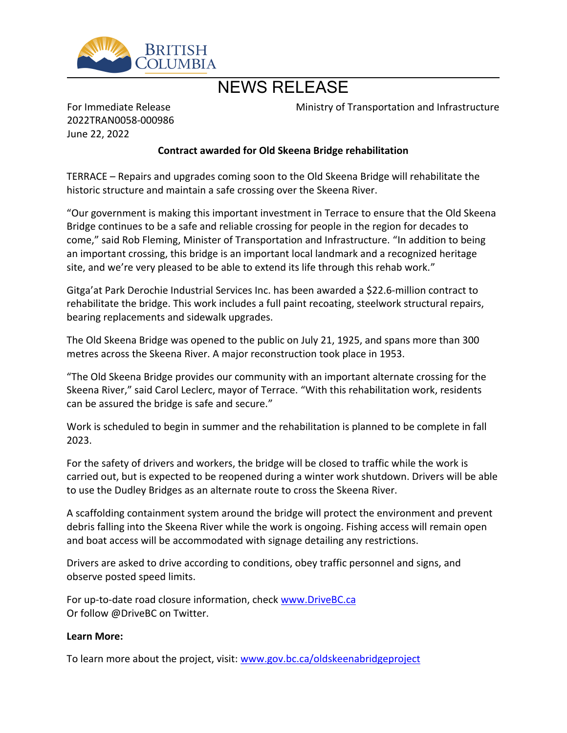

## NEWS RELEASE

For Immediate Release 2022TRAN0058-000986 June 22, 2022

Ministry of Transportation and Infrastructure

## **Contract awarded for Old Skeena Bridge rehabilitation**

TERRACE – Repairs and upgrades coming soon to the Old Skeena Bridge will rehabilitate the historic structure and maintain a safe crossing over the Skeena River.

͞Our government is making this important investment in Terrace to ensure that the Old Skeena Bridge continues to be a safe and reliable crossing for people in the region for decades to come," said Rob Fleming, Minister of Transportation and Infrastructure. "In addition to being an important crossing, this bridge is an important local landmark and a recognized heritage site, and we're very pleased to be able to extend its life through this rehab work."

Gitga'at Park Derochie Industrial Services Inc. has been awarded a \$22.6-million contract to rehabilitate the bridge. This work includes a full paint recoating, steelwork structural repairs, bearing replacements and sidewalk upgrades.

The Old Skeena Bridge was opened to the public on July 21, 1925, and spans more than 300 metres across the Skeena River. A major reconstruction took place in 1953.

͞The Old Skeena Bridge provides our community with an important alternate crossing for the Skeena River," said Carol Leclerc, mayor of Terrace. "With this rehabilitation work, residents can be assured the bridge is safe and secure.<sup>"</sup>

Work is scheduled to begin in summer and the rehabilitation is planned to be complete in fall 2023.

For the safety of drivers and workers, the bridge will be closed to traffic while the work is carried out, but is expected to be reopened during a winter work shutdown. Drivers will be able to use the Dudley Bridges as an alternate route to cross the Skeena River.

A scaffolding containment system around the bridge will protect the environment and prevent debris falling into the Skeena River while the work is ongoing. Fishing access will remain open and boat access will be accommodated with signage detailing any restrictions.

Drivers are asked to drive according to conditions, obey traffic personnel and signs, and observe posted speed limits.

For up-to-date road closure information, check [www.DriveBC.ca](http://www.drivebc.ca/) Or follow @DriveBC on Twitter.

## **Learn More:**

To learn more about the project, visit: [www.gov.bc.ca/oldskeenabridgeproject](http://www.gov.bc.ca/oldskeenabridgeproject)